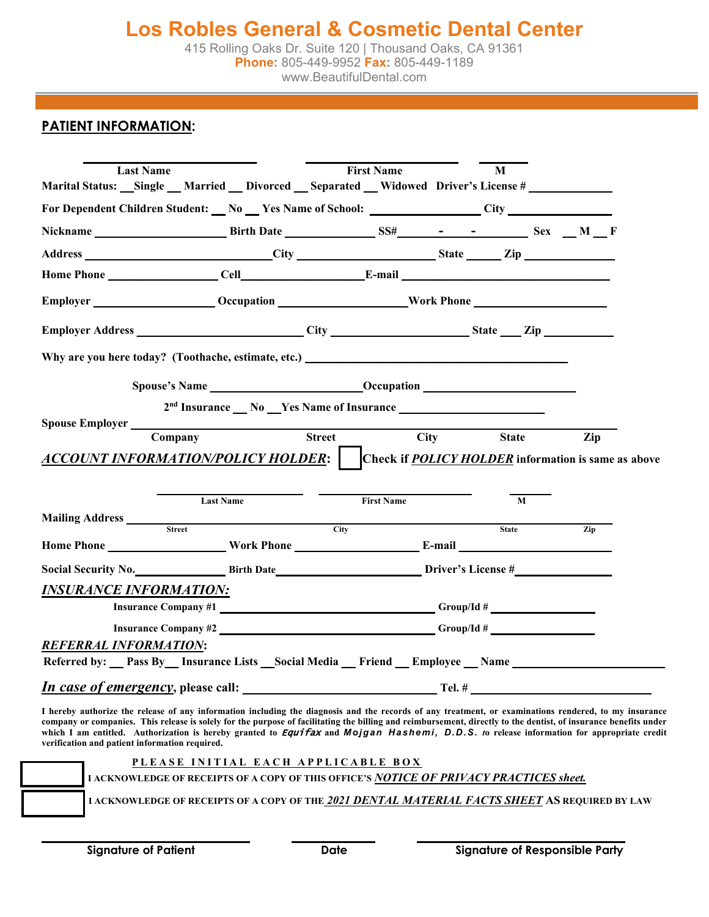415 Rolling Oaks Dr. Suite 120 | Thousand Oaks, CA 91361 **Phone:** 805-449-9952 **Fax:** 805-449-1189 www.BeautifulDental.com

## **PATIENT INFORMATION:**

| <b>Last Name</b>                                                                 |                                                                                                                               | <b>First Name</b> |             | M                                                   |     |  |  |  |
|----------------------------------------------------------------------------------|-------------------------------------------------------------------------------------------------------------------------------|-------------------|-------------|-----------------------------------------------------|-----|--|--|--|
|                                                                                  | Marital Status: Single Married Divorced Separated Widowed Driver's License #                                                  |                   |             |                                                     |     |  |  |  |
|                                                                                  | For Dependent Children Student: No Yes Name of School: City City                                                              |                   |             |                                                     |     |  |  |  |
|                                                                                  |                                                                                                                               |                   |             |                                                     |     |  |  |  |
|                                                                                  | Address City City State Zip                                                                                                   |                   |             |                                                     |     |  |  |  |
|                                                                                  |                                                                                                                               |                   |             |                                                     |     |  |  |  |
|                                                                                  |                                                                                                                               |                   |             |                                                     |     |  |  |  |
|                                                                                  | Employer Address City City State Zip                                                                                          |                   |             |                                                     |     |  |  |  |
|                                                                                  | Why are you here today? (Toothache, estimate, etc.) _____________________________                                             |                   |             |                                                     |     |  |  |  |
|                                                                                  |                                                                                                                               |                   |             |                                                     |     |  |  |  |
|                                                                                  | 2 <sup>nd</sup> Insurance __ No __ Yes Name of Insurance __________________________________                                   |                   |             |                                                     |     |  |  |  |
| Spouse Employer                                                                  | <u> 1989 - Johann Barn, mars eta bainar eta idazlea (h. 1989).</u>                                                            |                   |             |                                                     |     |  |  |  |
| Company                                                                          |                                                                                                                               | <b>Street</b>     | <b>City</b> | <b>State</b>                                        | Zip |  |  |  |
|                                                                                  | ACCOUNT INFORMATION/POLICY HOLDER:                                                                                            |                   |             | Check if POLICY HOLDER information is same as above |     |  |  |  |
|                                                                                  |                                                                                                                               |                   |             |                                                     |     |  |  |  |
|                                                                                  |                                                                                                                               |                   |             |                                                     |     |  |  |  |
|                                                                                  | <b>Last Name</b>                                                                                                              | <b>First Name</b> |             | M                                                   |     |  |  |  |
|                                                                                  | <b>Street</b>                                                                                                                 | City              |             | <b>State</b>                                        | Zip |  |  |  |
|                                                                                  |                                                                                                                               |                   |             |                                                     |     |  |  |  |
|                                                                                  |                                                                                                                               |                   |             |                                                     |     |  |  |  |
|                                                                                  | Social Security No. 5. Birth Date 5. Birth Date 5. Birth Date 5. Birth Date 5. Birth Date 5. Birth Date 5. Driver's License # |                   |             |                                                     |     |  |  |  |
|                                                                                  | Insurance Company #1                                                                                                          |                   |             |                                                     |     |  |  |  |
|                                                                                  |                                                                                                                               |                   |             |                                                     |     |  |  |  |
|                                                                                  |                                                                                                                               |                   |             |                                                     |     |  |  |  |
| Mailing Address<br><b>INSURANCE INFORMATION:</b><br><b>REFERRAL INFORMATION:</b> | Referred by: Pass By Insurance Lists Social Media Friend Employee Name                                                        |                   |             |                                                     |     |  |  |  |
|                                                                                  | <i>In case of emergency</i> , please call: Tel. #                                                                             |                   |             |                                                     |     |  |  |  |

**company or companies. This release is solely for the purpose of facilitating the billing and reimbursement, directly to the dentist, of insurance benefits under which I am entitled. Authorization is hereby granted to** Equifax **and** *Mojgan Hashemi, D.D.S. t***o release information for appropriate credit verification and patient information required.**

| PLEASE INITIAL EACH APPLICABLE BOX<br>I ACKNOWLEDGE OF RECEIPTS OF A COPY OF THIS OFFICE'S NOTICE OF PRIVACY PRACTICES sheet. |
|-------------------------------------------------------------------------------------------------------------------------------|
| I ACKNOWLEDGE OF RECEIPTS OF A COPY OF THE 2021 DENTAL MATERIAL FACTS SHEET AS REQUIRED BY LAW                                |